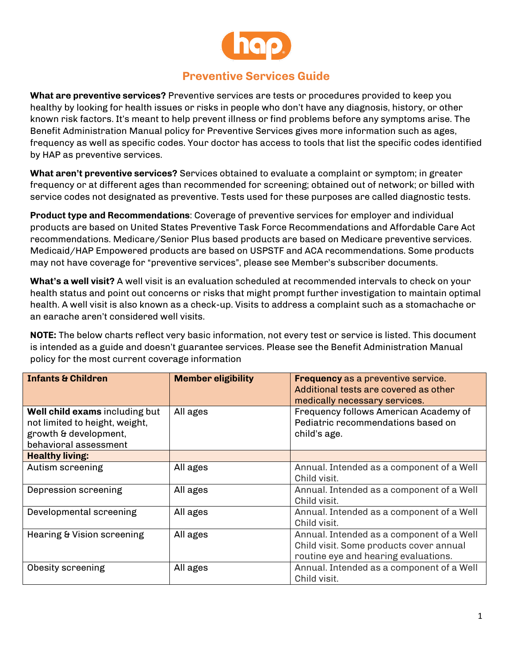

## **Preventive Services Guide**

**What are preventive services?** Preventive services are tests or procedures provided to keep you healthy by looking for health issues or risks in people who don't have any diagnosis, history, or other known risk factors. It's meant to help prevent illness or find problems before any symptoms arise. The Benefit Administration Manual policy for Preventive Services gives more information such as ages, frequency as well as specific codes. Your doctor has access to tools that list the specific codes identified by HAP as preventive services.

**What aren't preventive services?** Services obtained to evaluate a complaint or symptom; in greater frequency or at different ages than recommended for screening; obtained out of network; or billed with service codes not designated as preventive. Tests used for these purposes are called diagnostic tests.

**Product type and Recommendations**: Coverage of preventive services for employer and individual products are based on United States Preventive Task Force Recommendations and Affordable Care Act recommendations. Medicare/Senior Plus based products are based on Medicare preventive services. Medicaid/HAP Empowered products are based on USPSTF and ACA recommendations. Some products may not have coverage for "preventive services", please see Member's subscriber documents.

**What's a well visit?** A well visit is an evaluation scheduled at recommended intervals to check on your health status and point out concerns or risks that might prompt further investigation to maintain optimal health. A well visit is also known as a check-up. Visits to address a complaint such as a stomachache or an earache aren't considered well visits.

**NOTE:** The below charts reflect very basic information, not every test or service is listed. This document is intended as a guide and doesn't guarantee services. Please see the Benefit Administration Manual policy for the most current coverage information

| <b>Infants &amp; Children</b>                                                                                      | <b>Member eligibility</b> | <b>Frequency as a preventive service.</b><br>Additional tests are covered as other<br>medically necessary services.          |
|--------------------------------------------------------------------------------------------------------------------|---------------------------|------------------------------------------------------------------------------------------------------------------------------|
| Well child exams including but<br>not limited to height, weight,<br>growth & development,<br>behavioral assessment | All ages                  | Frequency follows American Academy of<br>Pediatric recommendations based on<br>child's age.                                  |
| <b>Healthy living:</b>                                                                                             |                           |                                                                                                                              |
| Autism screening                                                                                                   | All ages                  | Annual. Intended as a component of a Well<br>Child visit.                                                                    |
| Depression screening                                                                                               | All ages                  | Annual. Intended as a component of a Well<br>Child visit.                                                                    |
| Developmental screening                                                                                            | All ages                  | Annual. Intended as a component of a Well<br>Child visit.                                                                    |
| Hearing & Vision screening                                                                                         | All ages                  | Annual. Intended as a component of a Well<br>Child visit. Some products cover annual<br>routine eye and hearing evaluations. |
| Obesity screening                                                                                                  | All ages                  | Annual. Intended as a component of a Well<br>Child visit.                                                                    |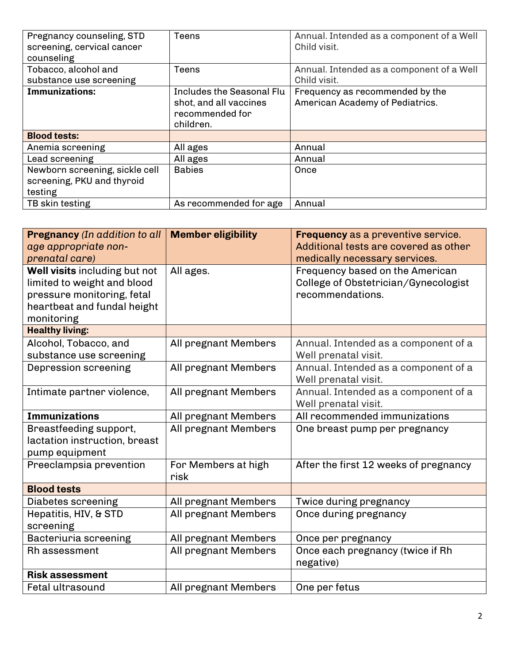| Pregnancy counseling, STD      | Teens                     | Annual. Intended as a component of a Well |
|--------------------------------|---------------------------|-------------------------------------------|
| screening, cervical cancer     |                           | Child visit.                              |
| counseling                     |                           |                                           |
| Tobacco, alcohol and           | Teens                     | Annual. Intended as a component of a Well |
| substance use screening        |                           | Child visit.                              |
| Immunizations:                 | Includes the Seasonal Flu | Frequency as recommended by the           |
|                                | shot, and all vaccines    | American Academy of Pediatrics.           |
|                                | recommended for           |                                           |
|                                | children.                 |                                           |
| <b>Blood tests:</b>            |                           |                                           |
| Anemia screening               | All ages                  | Annual                                    |
| Lead screening                 | All ages                  | Annual                                    |
| Newborn screening, sickle cell | <b>Babies</b>             | Once                                      |
| screening, PKU and thyroid     |                           |                                           |
| testing                        |                           |                                           |
| TB skin testing                | As recommended for age    | Annual                                    |

| <b>Pregnancy</b> (In addition to all | <b>Member eligibility</b> | <b>Frequency</b> as a preventive service. |
|--------------------------------------|---------------------------|-------------------------------------------|
| age appropriate non-                 |                           | Additional tests are covered as other     |
| prenatal care)                       |                           | medically necessary services.             |
| Well visits including but not        | All ages.                 | Frequency based on the American           |
| limited to weight and blood          |                           | College of Obstetrician/Gynecologist      |
| pressure monitoring, fetal           |                           | recommendations.                          |
| heartbeat and fundal height          |                           |                                           |
| monitoring                           |                           |                                           |
| <b>Healthy living:</b>               |                           |                                           |
| Alcohol, Tobacco, and                | All pregnant Members      | Annual. Intended as a component of a      |
| substance use screening              |                           | Well prenatal visit.                      |
| Depression screening                 | All pregnant Members      | Annual. Intended as a component of a      |
|                                      |                           | Well prenatal visit.                      |
| Intimate partner violence,           | All pregnant Members      | Annual. Intended as a component of a      |
|                                      |                           | Well prenatal visit.                      |
| <b>Immunizations</b>                 | All pregnant Members      | All recommended immunizations             |
| Breastfeeding support,               | All pregnant Members      | One breast pump per pregnancy             |
| lactation instruction, breast        |                           |                                           |
| pump equipment                       |                           |                                           |
| Preeclampsia prevention              | For Members at high       | After the first 12 weeks of pregnancy     |
|                                      | risk                      |                                           |
| <b>Blood tests</b>                   |                           |                                           |
| Diabetes screening                   | All pregnant Members      | Twice during pregnancy                    |
| Hepatitis, HIV, & STD                | All pregnant Members      | Once during pregnancy                     |
| screening                            |                           |                                           |
| Bacteriuria screening                | All pregnant Members      | Once per pregnancy                        |
| <b>Rh</b> assessment                 | All pregnant Members      | Once each pregnancy (twice if Rh          |
|                                      |                           | negative)                                 |
| <b>Risk assessment</b>               |                           |                                           |
|                                      |                           |                                           |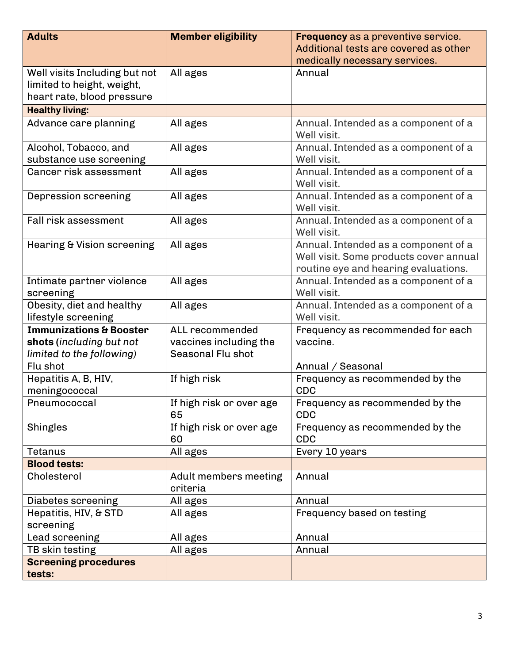| <b>Adults</b>                         | <b>Member eligibility</b> | Frequency as a preventive service.     |
|---------------------------------------|---------------------------|----------------------------------------|
|                                       |                           | Additional tests are covered as other  |
|                                       |                           | medically necessary services.          |
| Well visits Including but not         | All ages                  | Annual                                 |
| limited to height, weight,            |                           |                                        |
| heart rate, blood pressure            |                           |                                        |
| <b>Healthy living:</b>                |                           |                                        |
| Advance care planning                 | All ages                  | Annual. Intended as a component of a   |
|                                       |                           | Well visit.                            |
| Alcohol, Tobacco, and                 | All ages                  | Annual. Intended as a component of a   |
| substance use screening               |                           | Well visit.                            |
| Cancer risk assessment                | All ages                  | Annual. Intended as a component of a   |
|                                       |                           | Well visit.                            |
| Depression screening                  | All ages                  | Annual. Intended as a component of a   |
|                                       |                           | Well visit.                            |
| <b>Fall risk assessment</b>           | All ages                  | Annual. Intended as a component of a   |
|                                       |                           | Well visit.                            |
| <b>Hearing &amp; Vision screening</b> | All ages                  | Annual. Intended as a component of a   |
|                                       |                           | Well visit. Some products cover annual |
|                                       |                           | routine eye and hearing evaluations.   |
| Intimate partner violence             | All ages                  | Annual. Intended as a component of a   |
| screening                             |                           | Well visit.                            |
| Obesity, diet and healthy             | All ages                  | Annual. Intended as a component of a   |
| lifestyle screening                   |                           | Well visit.                            |
| <b>Immunizations &amp; Booster</b>    | ALL recommended           | Frequency as recommended for each      |
| shots (including but not              | vaccines including the    | vaccine.                               |
| limited to the following)             | Seasonal Flu shot         |                                        |
| Flu shot                              |                           | Annual / Seasonal                      |
| Hepatitis A, B, HIV,                  | If high risk              | Frequency as recommended by the        |
| meningococcal                         |                           | <b>CDC</b>                             |
| Pneumococcal                          | If high risk or over age  | Frequency as recommended by the        |
|                                       | 65                        | <b>CDC</b>                             |
| Shingles                              | If high risk or over age  | Frequency as recommended by the        |
|                                       | 60                        | <b>CDC</b>                             |
| Tetanus                               | All ages                  | Every 10 years                         |
| <b>Blood tests:</b>                   |                           |                                        |
| Cholesterol                           | Adult members meeting     | Annual                                 |
|                                       | criteria                  |                                        |
| Diabetes screening                    | All ages                  | Annual                                 |
| Hepatitis, HIV, & STD                 | All ages                  | Frequency based on testing             |
| screening                             |                           |                                        |
| Lead screening                        | All ages                  | Annual                                 |
| TB skin testing                       | All ages                  | Annual                                 |
| <b>Screening procedures</b>           |                           |                                        |
| tests:                                |                           |                                        |